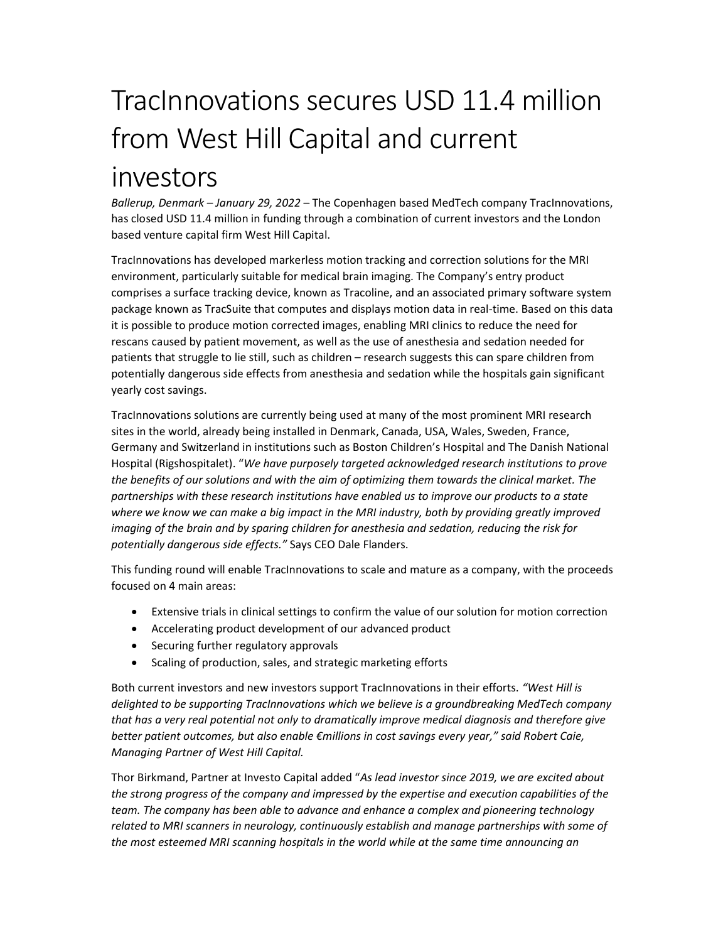## TracInnovations secures USD 11.4 million from West Hill Capital and current investors

Ballerup, Denmark - January 29, 2022 - The Copenhagen based MedTech company TracInnovations, has closed USD 11.4 million in funding through a combination of current investors and the London based venture capital firm West Hill Capital.

TracInnovations has developed markerless motion tracking and correction solutions for the MRI environment, particularly suitable for medical brain imaging. The Company's entry product comprises a surface tracking device, known as Tracoline, and an associated primary software system package known as TracSuite that computes and displays motion data in real-time. Based on this data it is possible to produce motion corrected images, enabling MRI clinics to reduce the need for rescans caused by patient movement, as well as the use of anesthesia and sedation needed for patients that struggle to lie still, such as children – research suggests this can spare children from potentially dangerous side effects from anesthesia and sedation while the hospitals gain significant yearly cost savings.

TracInnovations solutions are currently being used at many of the most prominent MRI research sites in the world, already being installed in Denmark, Canada, USA, Wales, Sweden, France, Germany and Switzerland in institutions such as Boston Children's Hospital and The Danish National Hospital (Rigshospitalet). "We have purposely targeted acknowledged research institutions to prove the benefits of our solutions and with the aim of optimizing them towards the clinical market. The partnerships with these research institutions have enabled us to improve our products to a state where we know we can make a big impact in the MRI industry, both by providing greatly improved imaging of the brain and by sparing children for anesthesia and sedation, reducing the risk for potentially dangerous side effects." Says CEO Dale Flanders.

This funding round will enable TracInnovations to scale and mature as a company, with the proceeds focused on 4 main areas:

- Extensive trials in clinical settings to confirm the value of our solution for motion correction
- Accelerating product development of our advanced product
- Securing further regulatory approvals
- Scaling of production, sales, and strategic marketing efforts

Both current investors and new investors support TracInnovations in their efforts. "West Hill is delighted to be supporting TracInnovations which we believe is a groundbreaking MedTech company that has a very real potential not only to dramatically improve medical diagnosis and therefore give better patient outcomes, but also enable €millions in cost savings every year," said Robert Caie, Managing Partner of West Hill Capital.

Thor Birkmand, Partner at Investo Capital added "As lead investor since 2019, we are excited about the strong progress of the company and impressed by the expertise and execution capabilities of the team. The company has been able to advance and enhance a complex and pioneering technology related to MRI scanners in neurology, continuously establish and manage partnerships with some of the most esteemed MRI scanning hospitals in the world while at the same time announcing an